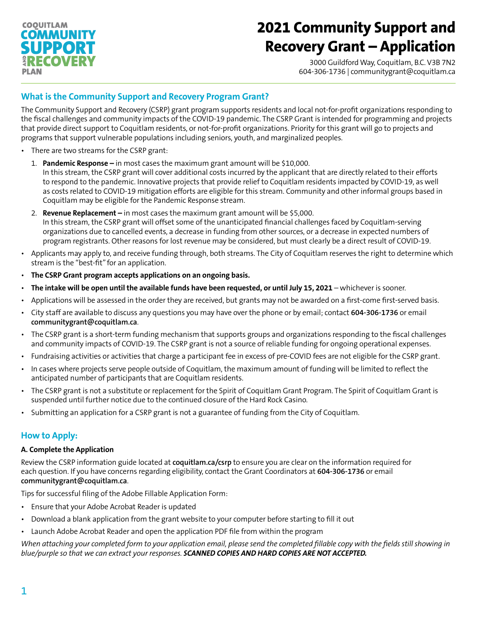## **COOUITLAM COMMUNIT** PPOR RECOVERY PLAN

# **2021 Community Support and Recovery Grant – Application**

3000 Guildford Way, Coquitlam, B.C. V3B 7N2 604-306-1736 | communitygrant@coquitlam.ca

## **What is the Community Support and Recovery Program Grant?**

The Community Support and Recovery (CSRP) grant program supports residents and local not-for-profit organizations responding to the fiscal challenges and community impacts of the COVID-19 pandemic. The CSRP Grant is intended for programming and projects that provide direct support to Coquitlam residents, or not-for-profit organizations. Priority for this grant will go to projects and programs that support vulnerable populations including seniors, youth, and marginalized peoples.

- There are two streams for the CSRP grant:
	- 1. **Pandemic Response –** in most cases the maximum grant amount will be \$10,000. In this stream, the CSRP grant will cover additional costs incurred by the applicant that are directly related to their efforts to respond to the pandemic. Innovative projects that provide relief to Coquitlam residents impacted by COVID-19, as well as costs related to COVID-19 mitigation efforts are eligible for this stream. Community and other informal groups based in Coquitlam may be eligible for the Pandemic Response stream.
	- 2. **Revenue Replacement –** in most cases the maximum grant amount will be \$5,000. In this stream, the CSRP grant will offset some of the unanticipated financial challenges faced by Coquitlam-serving organizations due to cancelled events, a decrease in funding from other sources, or a decrease in expected numbers of program registrants. Other reasons for lost revenue may be considered, but must clearly be a direct result of COVID-19.
- Applicants may apply to, and receive funding through, both streams. The City of Coquitlam reserves the right to determine which stream is the "best-fit" for an application.
- **The CSRP Grant program accepts applications on an ongoing basis.**
- **The intake will be open until the available funds have been requested, or until July 15, 2021** whichever is sooner.
- Applications will be assessed in the order they are received, but grants may not be awarded on a first-come first-served basis.
- City staff are available to discuss any questions you may have over the phone or by email; contact **604-306-1736** or email **[communitygrant@coquitlam.ca](mailto:communitygrant%40coquitlam.ca?subject=)**.
- The CSRP grant is a short-term funding mechanism that supports groups and organizations responding to the fiscal challenges and community impacts of COVID-19. The CSRP grant is not a source of reliable funding for ongoing operational expenses.
- Fundraising activities or activities that charge a participant fee in excess of pre-COVID fees are not eligible for the CSRP grant.
- In cases where projects serve people outside of Coquitlam, the maximum amount of funding will be limited to reflect the anticipated number of participants that are Coquitlam residents.
- The CSRP grant is not a substitute or replacement for the Spirit of Coquitlam Grant Program. The Spirit of Coquitlam Grant is suspended until further notice due to the continued closure of the Hard Rock Casino.
- Submitting an application for a CSRP grant is not a guarantee of funding from the City of Coquitlam.

## **How to Apply:**

### **A. Complete the Application**

Review the CSRP information guide located at **[coquitlam.ca/csrp](http://coquitlam.ca/csrp)** to ensure you are clear on the information required for each question. If you have concerns regarding eligibility, contact the Grant Coordinators at **604-306-1736** or email **[communitygrant@coquitlam.ca](mailto:communitygrant%40coquitlam.ca?subject=)**.

Tips for successful filing of the Adobe Fillable Application Form:

- Ensure that your Adobe Acrobat Reader is updated
- Download a blank application from the grant website to your computer before starting to fill it out
- Launch Adobe Acrobat Reader and open the application PDF file from within the program

*When attaching your completed form to your application email, please send the completed fillable copy with the fields still showing in blue/purple so that we can extract your responses. SCANNED COPIES AND HARD COPIES ARE NOT ACCEPTED.*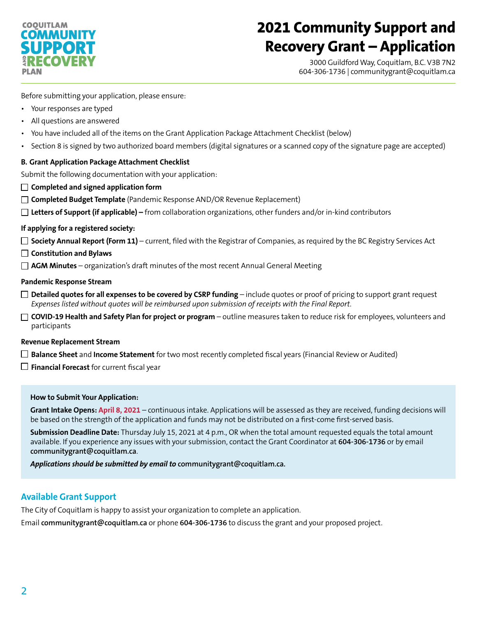## **COOUITLAM COMMUNIT SUPPORT RECOVERY** PLAN

# **2021 Community Support and Recovery Grant – Application**

3000 Guildford Way, Coquitlam, B.C. V3B 7N2 604-306-1736 | communitygrant@coquitlam.ca

Before submitting your application, please ensure:

- Your responses are typed
- All questions are answered
- You have included all of the items on the Grant Application Package Attachment Checklist (below)
- Section 8 is signed by two authorized board members (digital signatures or a scanned copy of the signature page are accepted)

### **B. Grant Application Package Attachment Checklist**

Submit the following documentation with your application:

- **Completed and signed application form**
- □ **Completed Budget Template** (Pandemic Response AND/OR Revenue Replacement)
- **Letters of Support (if applicable)** from collaboration organizations, other funders and/or in-kind contributors

### **If applying for a registered society:**

 $\Box$  **Society Annual Report (Form 11)** – current, filed with the Registrar of Companies, as required by the BC Registry Services Act

- **Constitution and Bylaws**
- **AGM Minutes** organization's draft minutes of the most recent Annual General Meeting

### **Pandemic Response Stream**

- **Detailed quotes for all expenses to be covered by CSRP funding** include quotes or proof of pricing to support grant request *Expenses listed without quotes will be reimbursed upon submission of receipts with the Final Report.*
- **COVID-19 Health and Safety Plan for project or program** outline measures taken to reduce risk for employees, volunteers and participants

### **Revenue Replacement Stream**

- **Balance Sheet** and **Income Statement** for two most recently completed fiscal years (Financial Review or Audited)
- $\Box$  **Financial Forecast** for current fiscal year

### **How to Submit Your Application:**

**Grant Intake Opens: April 8, 2021** – continuous intake. Applications will be assessed as they are received, funding decisions will be based on the strength of the application and funds may not be distributed on a first-come first-served basis.

**Submission Deadline Date:** Thursday July 15, 2021 at 4 p.m., OR when the total amount requested equals the total amount available. If you experience any issues with your submission, contact the Grant Coordinator at **604-306-1736** or by email **[communitygrant@coquitlam.ca](mailto:communitygrant%40coquitlam.ca?subject=)**.

*Applications should be submitted by email to* **[communitygrant@coquitlam.ca](mailto:communitygrant%40coquitlam.ca?subject=).**

### **Available Grant Support**

The City of Coquitlam is happy to assist your organization to complete an application.

Email **[communitygrant@coquitlam.ca](mailto:communitygrant%40coquitlam.ca?subject=)** or phone **604-306-1736** to discuss the grant and your proposed project.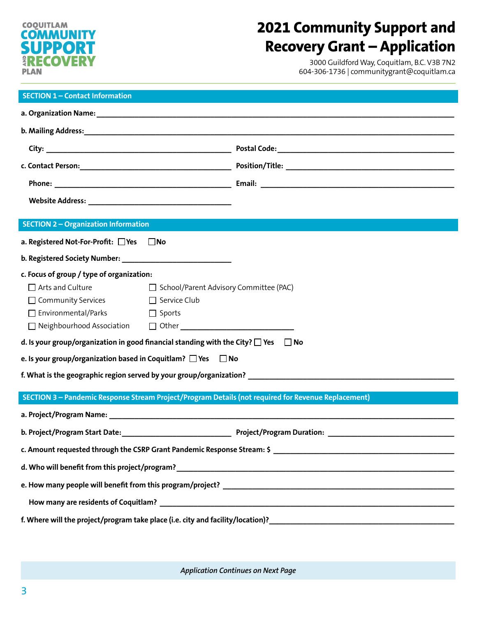### **COQUITLAM COMMUNITY**<br>SLIPPORT **SUPPOR<br>ARECOVER** RECOVERY PLAN

## **2021 Community Support and Recovery Grant – Application**

3000 Guildford Way, Coquitlam, B.C. V3B 7N2 604-306-1736 | communitygrant@coquitlam.ca

| <b>SECTION 1 - Contact Information</b>                                                                          |                                          |  |  |
|-----------------------------------------------------------------------------------------------------------------|------------------------------------------|--|--|
|                                                                                                                 |                                          |  |  |
|                                                                                                                 |                                          |  |  |
|                                                                                                                 |                                          |  |  |
|                                                                                                                 |                                          |  |  |
|                                                                                                                 |                                          |  |  |
|                                                                                                                 |                                          |  |  |
|                                                                                                                 |                                          |  |  |
| <b>SECTION 2 - Organization Information</b>                                                                     |                                          |  |  |
| a. Registered Not-For-Profit: □Yes □No                                                                          |                                          |  |  |
|                                                                                                                 |                                          |  |  |
| c. Focus of group / type of organization:                                                                       |                                          |  |  |
| $\Box$ Arts and Culture                                                                                         | □ School/Parent Advisory Committee (PAC) |  |  |
| □ Community Services □ Service Club                                                                             |                                          |  |  |
| $\Box$ Environmental/Parks<br>Durang Sports                                                                     |                                          |  |  |
|                                                                                                                 |                                          |  |  |
| d. Is your group/organization in good financial standing with the City? $\square$ Yes $\square$ No              |                                          |  |  |
| e. Is your group/organization based in Coquitlam? $\Box$ Yes $\Box$ No                                          |                                          |  |  |
|                                                                                                                 |                                          |  |  |
| SECTION 3 - Pandemic Response Stream Project/Program Details (not required for Revenue Replacement)             |                                          |  |  |
|                                                                                                                 |                                          |  |  |
| a. Project/Program Name: North and Society of the Society of the Society of the Society of the Society of the S |                                          |  |  |
|                                                                                                                 |                                          |  |  |
| c. Amount requested through the CSRP Grant Pandemic Response Stream: \$                                         |                                          |  |  |
|                                                                                                                 |                                          |  |  |
|                                                                                                                 |                                          |  |  |
|                                                                                                                 |                                          |  |  |
|                                                                                                                 |                                          |  |  |

*Application Continues on Next Page*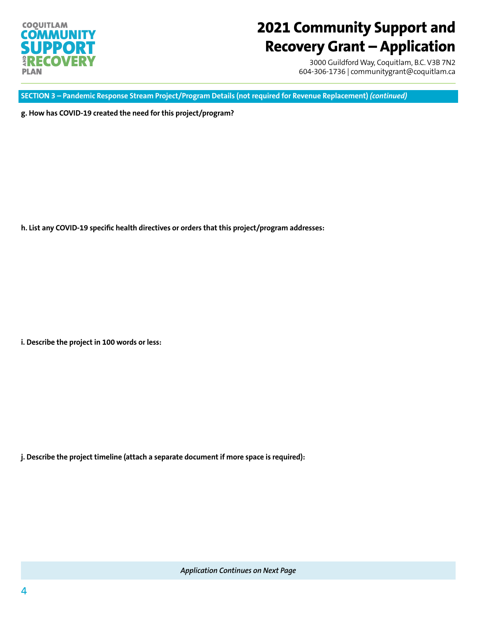

## **2021 Community Support and Recovery Grant – Application**

3000 Guildford Way, Coquitlam, B.C. V3B 7N2 604-306-1736 | communitygrant@coquitlam.ca

**SECTION 3 – Pandemic Response Stream Project/Program Details (not required for Revenue Replacement)** *(continued)*

**g. How has COVID-19 created the need for this project/program?**

**h. List any COVID-19 specific health directives or orders that this project/program addresses:**

**i. Describe the project in 100 words or less:**

**j. Describe the project timeline (attach a separate document if more space is required):**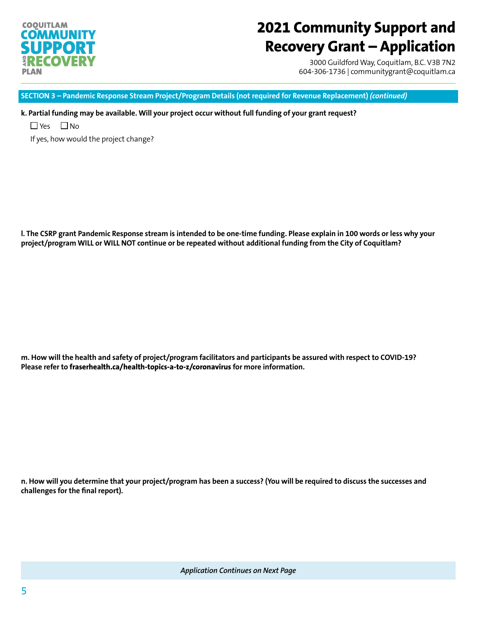## **COQUITLAM** COMMUNITY PPO RECOVERY PLAN

# **2021 Community Support and Recovery Grant – Application**

3000 Guildford Way, Coquitlam, B.C. V3B 7N2 604-306-1736 | communitygrant@coquitlam.ca

**SECTION 3 – Pandemic Response Stream Project/Program Details (not required for Revenue Replacement)** *(continued)*

**k. Partial funding may be available. Will your project occur without full funding of your grant request?**

 $\Box$  Yes  $\Box$  No

If yes, how would the project change?

**l. The CSRP grant Pandemic Response stream is intended to be one-time funding. Please explain in 100 words or less why your project/program WILL or WILL NOT continue or be repeated without additional funding from the City of Coquitlam?** 

**m. How will the health and safety of project/program facilitators and participants be assured with respect to COVID-19? Please refer to [fraserhealth.ca/health-topics-a-to-z/coronavirus](mailto:fraserhealth.ca/health-topics-a-to-z/coronavirus?subject=) for more information.**

**n. How will you determine that your project/program has been a success? (You will be required to discuss the successes and challenges for the final report).**

*Application Continues on Next Page*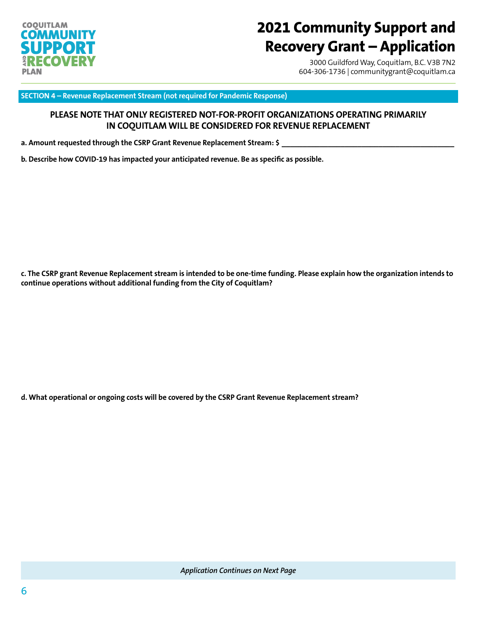

## **2021 Community Support and Recovery Grant – Application**

3000 Guildford Way, Coquitlam, B.C. V3B 7N2 604-306-1736 | communitygrant@coquitlam.ca

**SECTION 4 – Revenue Replacement Stream (not required for Pandemic Response)**

### **PLEASE NOTE THAT ONLY REGISTERED NOT-FOR-PROFIT ORGANIZATIONS OPERATING PRIMARILY IN COQUITLAM WILL BE CONSIDERED FOR REVENUE REPLACEMENT**

a. Amount requested through the CSRP Grant Revenue Replacement Stream: \$

**b. Describe how COVID-19 has impacted your anticipated revenue. Be as specific as possible.**

**c. The CSRP grant Revenue Replacement stream is intended to be one-time funding. Please explain how the organization intends to continue operations without additional funding from the City of Coquitlam?** 

**d. What operational or ongoing costs will be covered by the CSRP Grant Revenue Replacement stream?**

*Application Continues on Next Page*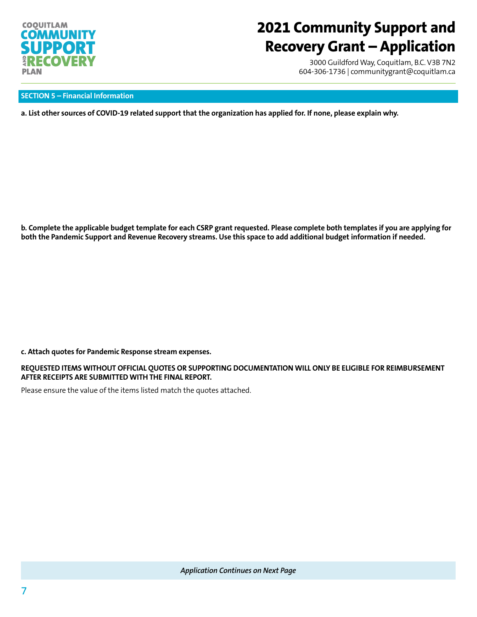

## **2021 Community Support and Recovery Grant – Application**

3000 Guildford Way, Coquitlam, B.C. V3B 7N2 604-306-1736 | communitygrant@coquitlam.ca

### **SECTION 5 – Financial Information**

**a. List other sources of COVID-19 related support that the organization has applied for. If none, please explain why.** 

**b. Complete the applicable budget template for each CSRP grant requested. Please complete both templates if you are applying for both the Pandemic Support and Revenue Recovery streams. Use this space to add additional budget information if needed.**

#### **c. Attach quotes for Pandemic Response stream expenses.**

### **REQUESTED ITEMS WITHOUT OFFICIAL QUOTES OR SUPPORTING DOCUMENTATION WILL ONLY BE ELIGIBLE FOR REIMBURSEMENT AFTER RECEIPTS ARE SUBMITTED WITH THE FINAL REPORT.**

Please ensure the value of the items listed match the quotes attached.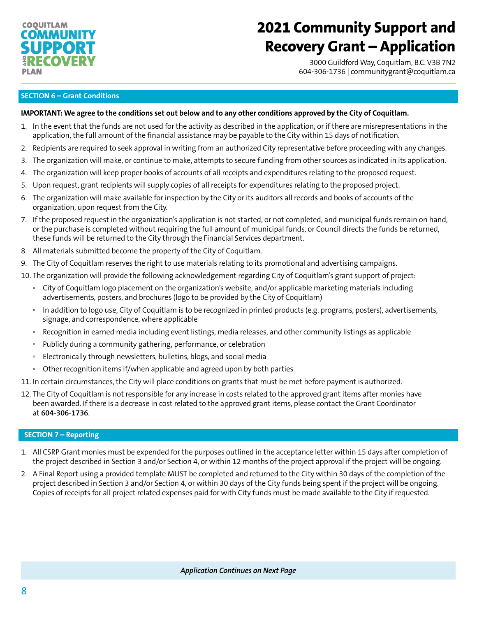## **COOUITLAM COMMUNITY SUPPORT RECOVERY** PLAN

# **2021 Community Support and Recovery Grant – Application**

3000 Guildford Way, Coquitlam, B.C. V3B 7N2 604-306-1736 | communitygrant@coquitlam.ca

### **SECTION 6 – Grant Conditions**

### **IMPORTANT: We agree to the conditions set out below and to any other conditions approved by the City of Coquitlam.**

- 1. In the event that the funds are not used for the activity as described in the application, or if there are misrepresentations in the application, the full amount of the financial assistance may be payable to the City within 15 days of notification.
- 2. Recipients are required to seek approval in writing from an authorized City representative before proceeding with any changes.
- 3. The organization will make, or continue to make, attempts to secure funding from other sources as indicated in its application.
- 4. The organization will keep proper books of accounts of all receipts and expenditures relating to the proposed request.
- 5. Upon request, grant recipients will supply copies of all receipts for expenditures relating to the proposed project.
- 6. The organization will make available for inspection by the City or its auditors all records and books of accounts of the organization, upon request from the City.
- 7. If the proposed request in the organization's application is not started, or not completed, and municipal funds remain on hand, or the purchase is completed without requiring the full amount of municipal funds, or Council directs the funds be returned, these funds will be returned to the City through the Financial Services department.
- 8. All materials submitted become the property of the City of Coquitlam.
- 9. The City of Coquitlam reserves the right to use materials relating to its promotional and advertising campaigns.
- 10. The organization will provide the following acknowledgement regarding City of Coquitlam's grant support of project:
	- City of Coquitlam logo placement on the organization's website, and/or applicable marketing materials including advertisements, posters, and brochures (logo to be provided by the City of Coquitlam)
	- In addition to logo use, City of Coquitlam is to be recognized in printed products (e.g. programs, posters), advertisements, signage, and correspondence, where applicable
	- Recognition in earned media including event listings, media releases, and other community listings as applicable
	- Publicly during a community gathering, performance, or celebration
	- Electronically through newsletters, bulletins, blogs, and social media
	- Other recognition items if/when applicable and agreed upon by both parties

11. In certain circumstances, the City will place conditions on grants that must be met before payment is authorized.

12. The City of Coquitlam is not responsible for any increase in costs related to the approved grant items after monies have been awarded. If there is a decrease in cost related to the approved grant items, please contact the Grant Coordinator at **604-306-1736**.

### **SECTION 7 – Reporting**

- 1. All CSRP Grant monies must be expended for the purposes outlined in the acceptance letter within 15 days after completion of the project described in Section 3 and/or Section 4, or within 12 months of the project approval if the project will be ongoing.
- 2. A Final Report using a provided template MUST be completed and returned to the City within 30 days of the completion of the project described in Section 3 and/or Section 4, or within 30 days of the City funds being spent if the project will be ongoing. Copies of receipts for all project related expenses paid for with City funds must be made available to the City if requested.